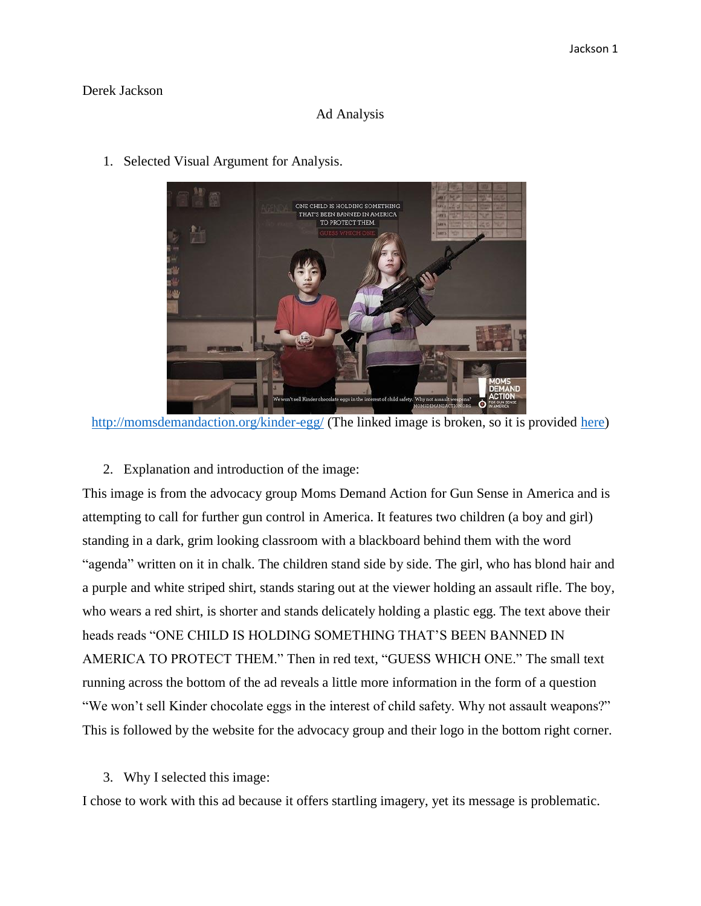## Derek Jackson

## Ad Analysis



1. Selected Visual Argument for Analysis.

<http://momsdemandaction.org/kinder-egg/> (The linked image is broken, so it is provided [here\)](http://www.huffingtonpost.com/2013/04/15/gun-control-psas-moms-demand-action-for-gun-sense-in-america_n_3082504.html)

2. Explanation and introduction of the image:

This image is from the advocacy group Moms Demand Action for Gun Sense in America and is attempting to call for further gun control in America. It features two children (a boy and girl) standing in a dark, grim looking classroom with a blackboard behind them with the word "agenda" written on it in chalk. The children stand side by side. The girl, who has blond hair and a purple and white striped shirt, stands staring out at the viewer holding an assault rifle. The boy, who wears a red shirt, is shorter and stands delicately holding a plastic egg. The text above their heads reads "ONE CHILD IS HOLDING SOMETHING THAT'S BEEN BANNED IN AMERICA TO PROTECT THEM." Then in red text, "GUESS WHICH ONE." The small text running across the bottom of the ad reveals a little more information in the form of a question "We won't sell Kinder chocolate eggs in the interest of child safety. Why not assault weapons?" This is followed by the website for the advocacy group and their logo in the bottom right corner.

3. Why I selected this image:

I chose to work with this ad because it offers startling imagery, yet its message is problematic.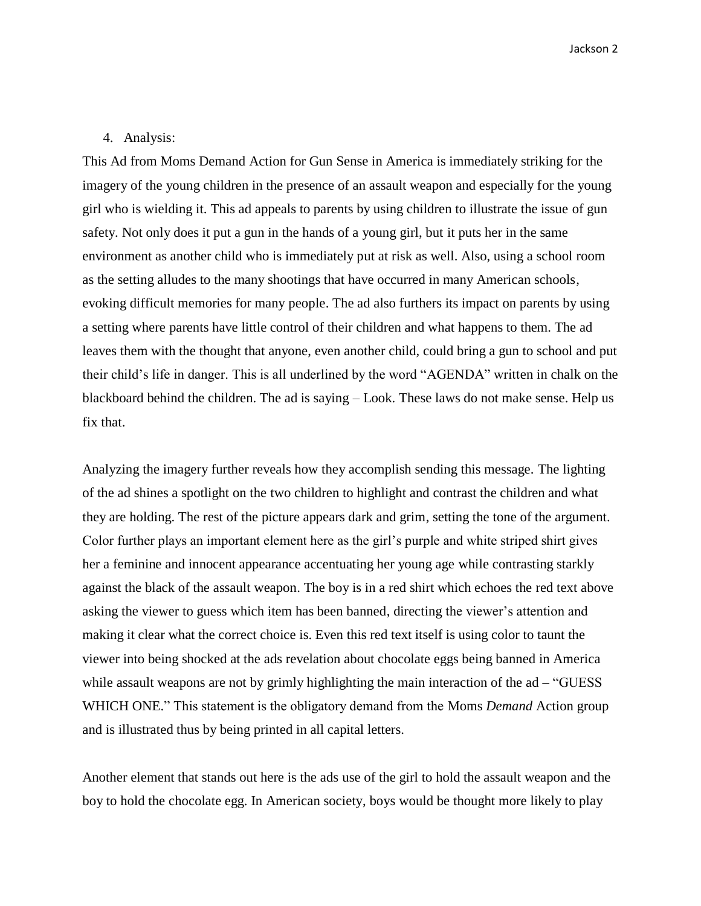Jackson 2

## 4. Analysis:

This Ad from Moms Demand Action for Gun Sense in America is immediately striking for the imagery of the young children in the presence of an assault weapon and especially for the young girl who is wielding it. This ad appeals to parents by using children to illustrate the issue of gun safety. Not only does it put a gun in the hands of a young girl, but it puts her in the same environment as another child who is immediately put at risk as well. Also, using a school room as the setting alludes to the many shootings that have occurred in many American schools, evoking difficult memories for many people. The ad also furthers its impact on parents by using a setting where parents have little control of their children and what happens to them. The ad leaves them with the thought that anyone, even another child, could bring a gun to school and put their child's life in danger. This is all underlined by the word "AGENDA" written in chalk on the blackboard behind the children. The ad is saying – Look. These laws do not make sense. Help us fix that.

Analyzing the imagery further reveals how they accomplish sending this message. The lighting of the ad shines a spotlight on the two children to highlight and contrast the children and what they are holding. The rest of the picture appears dark and grim, setting the tone of the argument. Color further plays an important element here as the girl's purple and white striped shirt gives her a feminine and innocent appearance accentuating her young age while contrasting starkly against the black of the assault weapon. The boy is in a red shirt which echoes the red text above asking the viewer to guess which item has been banned, directing the viewer's attention and making it clear what the correct choice is. Even this red text itself is using color to taunt the viewer into being shocked at the ads revelation about chocolate eggs being banned in America while assault weapons are not by grimly highlighting the main interaction of the ad – "GUESS" WHICH ONE." This statement is the obligatory demand from the Moms *Demand* Action group and is illustrated thus by being printed in all capital letters.

Another element that stands out here is the ads use of the girl to hold the assault weapon and the boy to hold the chocolate egg. In American society, boys would be thought more likely to play